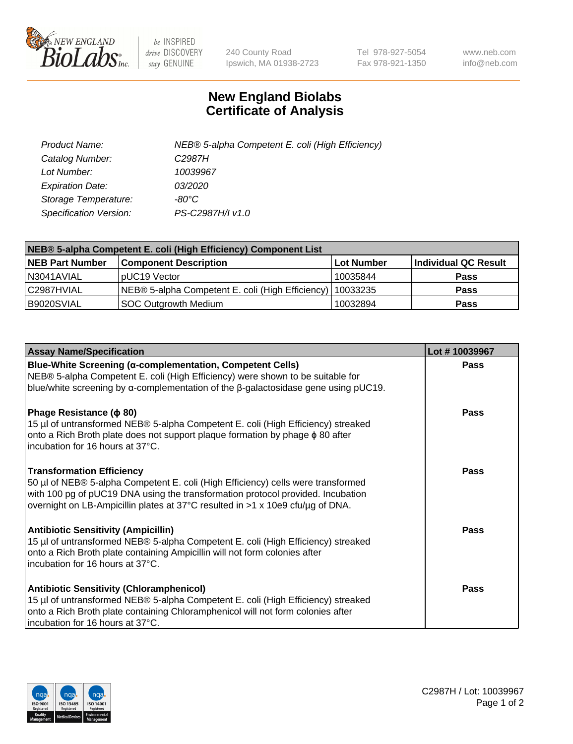

 $be$  INSPIRED drive DISCOVERY stay GENUINE

240 County Road Ipswich, MA 01938-2723 Tel 978-927-5054 Fax 978-921-1350 www.neb.com info@neb.com

## **New England Biolabs Certificate of Analysis**

| Product Name:           | NEB® 5-alpha Competent E. coli (High Efficiency) |
|-------------------------|--------------------------------------------------|
| Catalog Number:         | C <sub>2987</sub> H                              |
| Lot Number:             | 10039967                                         |
| <b>Expiration Date:</b> | <i>03/2020</i>                                   |
| Storage Temperature:    | -80°C                                            |
| Specification Version:  | PS-C2987H/I v1.0                                 |

| NEB® 5-alpha Competent E. coli (High Efficiency) Component List |                                                  |                   |                      |  |
|-----------------------------------------------------------------|--------------------------------------------------|-------------------|----------------------|--|
| <b>NEB Part Number</b>                                          | <b>Component Description</b>                     | <b>Lot Number</b> | Individual QC Result |  |
| N3041AVIAL                                                      | pUC19 Vector                                     | 10035844          | <b>Pass</b>          |  |
| C2987HVIAL                                                      | NEB® 5-alpha Competent E. coli (High Efficiency) | 10033235          | <b>Pass</b>          |  |
| B9020SVIAL                                                      | <b>SOC Outgrowth Medium</b>                      | 10032894          | <b>Pass</b>          |  |

| <b>Assay Name/Specification</b>                                                                                                                                                                                                                                                           | Lot #10039967 |
|-------------------------------------------------------------------------------------------------------------------------------------------------------------------------------------------------------------------------------------------------------------------------------------------|---------------|
| <b>Blue-White Screening (α-complementation, Competent Cells)</b><br>NEB® 5-alpha Competent E. coli (High Efficiency) were shown to be suitable for<br>blue/white screening by $\alpha$ -complementation of the $\beta$ -galactosidase gene using pUC19.                                   | Pass          |
| Phage Resistance ( $\phi$ 80)<br>15 µl of untransformed NEB® 5-alpha Competent E. coli (High Efficiency) streaked<br>onto a Rich Broth plate does not support plaque formation by phage φ 80 after<br>incubation for 16 hours at 37°C.                                                    | <b>Pass</b>   |
| <b>Transformation Efficiency</b><br>50 µl of NEB® 5-alpha Competent E. coli (High Efficiency) cells were transformed<br>with 100 pg of pUC19 DNA using the transformation protocol provided. Incubation<br>overnight on LB-Ampicillin plates at 37°C resulted in >1 x 10e9 cfu/µg of DNA. | Pass          |
| <b>Antibiotic Sensitivity (Ampicillin)</b><br>15 µl of untransformed NEB® 5-alpha Competent E. coli (High Efficiency) streaked<br>onto a Rich Broth plate containing Ampicillin will not form colonies after<br>incubation for 16 hours at 37°C.                                          | Pass          |
| <b>Antibiotic Sensitivity (Chloramphenicol)</b><br>15 µl of untransformed NEB® 5-alpha Competent E. coli (High Efficiency) streaked<br>onto a Rich Broth plate containing Chloramphenicol will not form colonies after<br>incubation for 16 hours at 37°C.                                | Pass          |